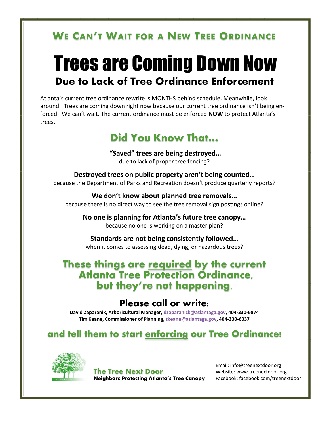# **WE CAN'T WAIT FOR A NEW TREE ORDINANCE**

# Trees are Coming Down Now **Due to Lack of Tree Ordinance Enforcement**

Atlanta's current tree ordinance rewrite is MONTHS behind schedule. Meanwhile, look around. Trees are coming down right now because our current tree ordinance isn't being enforced. We can't wait. The current ordinance must be enforced **NOW** to protect Atlanta's trees.

# **Did You Know That…**

**"Saved" trees are being destroyed…** due to lack of proper tree fencing?

**Destroyed trees on public property aren't being counted…** because the Department of Parks and Recreation doesn't produce quarterly reports?

**We don't know about planned tree removals…** because there is no direct way to see the tree removal sign postings online?

**No one is planning for Atlanta's future tree canopy…** because no one is working on a master plan?

**Standards are not being consistently followed…** when it comes to assessing dead, dying, or hazardous trees?

### **These things are required by the current Atlanta Tree Protection Ordinance, but they're not happening.**

## **Please call or write:**

**David Zaparanik, Arboricultural Manager, [dzaparanick@atlantaga.gov,](mailto:dzaparanik@atlantaga.gov) 404-330-6874 Tim Keane, Commissioner of Planning, [tkeane@atlantaga.gov,](mailto:tkeane@atlantaga.gov) 404-330-6037**

**and tell them to start enforcing our Tree Ordinance!**



**The Tree Next Door Neighbors Protecting Atlanta's Tree Canopy**

Email: info@treenextdoor.org Website: www.treenextdoor.org Facebook: facebook.com/treenextdoor